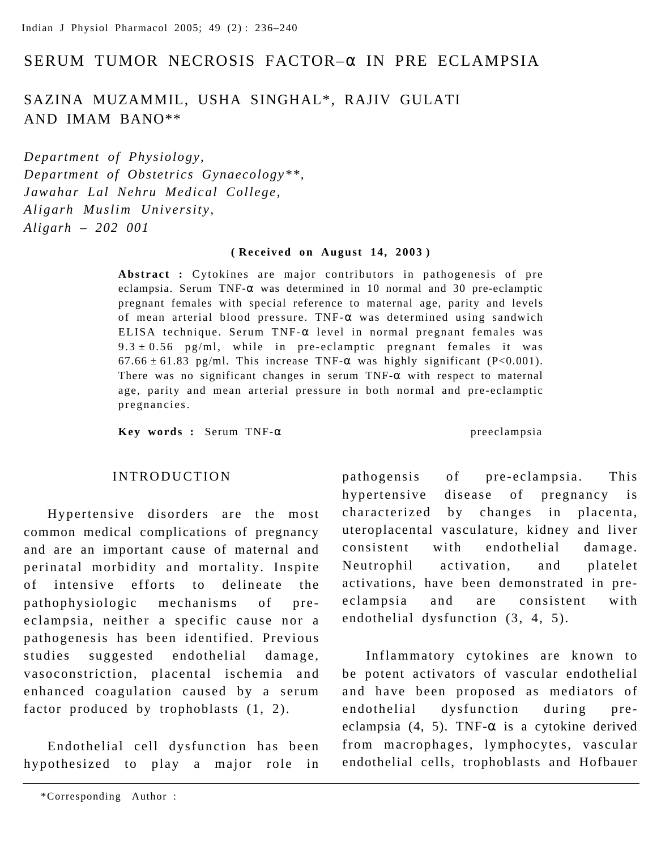# SERUM TUMOR NECROSIS FACTOR–α IN PRE ECLAMPSIA

# SAZINA MUZAMMIL, USHA SINGHAL\*, RAJIV GULATI AND IMAM BANO\*\*

*Department of Physiology, Department of Obstetrics Gynaecology\*\*, Jawahar Lal Nehru Medical College, Aligarh Muslim University, Aligarh – 202 001*

#### **( Received on August 14, 2003 )**

**Abstract :** Cytokines are major contributors in pathogenesis of pre eclampsia. Serum  $TNF-\alpha$  was determined in 10 normal and 30 pre-eclamptic pregnant females with special reference to maternal age, parity and levels of mean arterial blood pressure. TNF-α was determined using sandwich ELISA technique. Serum TNF-α level in normal pregnant females was  $9.3 \pm 0.56$  pg/ml, while in pre-eclamptic pregnant females it was  $67.66 \pm 61.83$  pg/ml. This increase TNF- $\alpha$  was highly significant (P<0.001). There was no significant changes in serum  $TNF-\alpha$  with respect to maternal age, parity and mean arterial pressure in both normal and pre-eclamptic pregnancies.

**Key words :** Serum TNF-α preeclampsia

### INTRODUCTION

Hypertensive disorders are the most common medical complications of pregnancy and are an important cause of maternal and perinatal morbidity and mortality. Inspite of intensive efforts to delineate the pathophysiologic mechanisms of preeclampsia, neither a specific cause nor a pathogenesis has been identified. Previous studies suggested endothelial damage, vasoconstriction, placental ischemia and enhanced coagulation caused by a serum factor produced by trophoblasts (1, 2).

Endothelial cell dysfunction has been hypothesized to play a major role in pathogensis of pre-eclampsia. This hypertensive disease of pregnancy is characterized by changes in placenta, uteroplacental vasculature, kidney and liver consistent with endothelial damage. Neutrophil activation, and platelet activations, have been demonstrated in preeclampsia and are consistent with endothelial dysfunction (3, 4, 5).

Inflammatory cytokines are known to be potent activators of vascular endothelial and have been proposed as mediators of endothelial dysfunction during preeclampsia (4, 5). TNF- $\alpha$  is a cytokine derived from macrophages, lymphocytes, vascular endothelial cells, trophoblasts and Hofbauer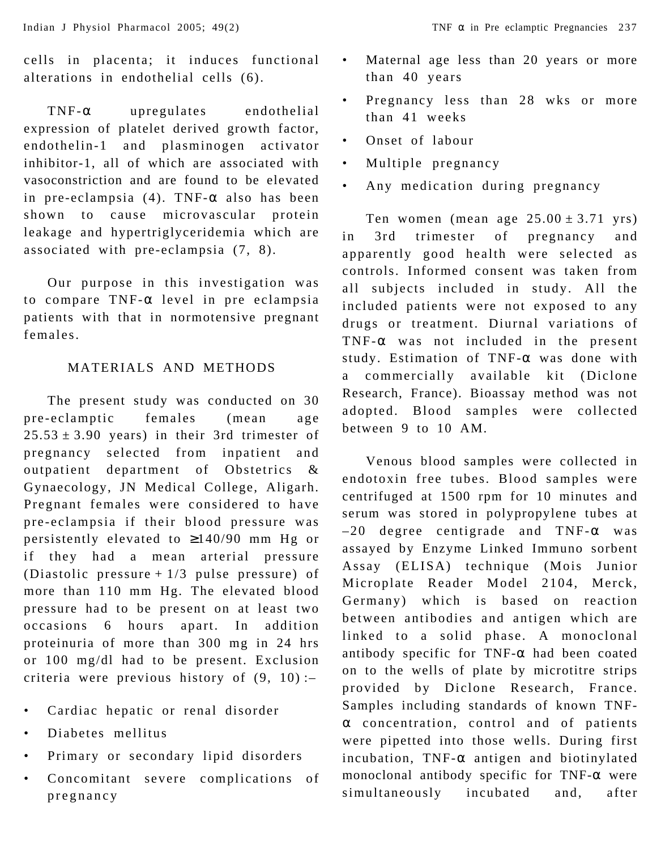cells in placenta; it induces functional alterations in endothelial cells (6).

TNF-α upregulates endothelial expression of platelet derived growth factor, endothelin-1 and plasminogen activator inhibitor-1, all of which are associated with vasoconstriction and are found to be elevated in pre-eclampsia  $(4)$ . TNF- $\alpha$  also has been shown to cause microvascular protein leakage and hypertriglyceridemia which are associated with pre-eclampsia (7, 8).

Our purpose in this investigation was to compare TNF-α level in pre eclampsia patients with that in normotensive pregnant females.

## MATERIALS AND METHODS

The present study was conducted on 30 pre-eclamptic females (mean age  $25.53 \pm 3.90$  years) in their 3rd trimester of pregnancy selected from inpatient and outpatient department of Obstetrics & Gynaecology, JN Medical College, Aligarh. Pregnant females were considered to have pre-eclampsia if their blood pressure was persistently elevated to ≥140/90 mm Hg or if they had a mean arterial pressure (Diastolic pressure  $+1/3$  pulse pressure) of more than 110 mm Hg. The elevated blood pressure had to be present on at least two occasions 6 hours apart. In addition proteinuria of more than 300 mg in 24 hrs or 100 mg/dl had to be present. Exclusion criteria were previous history of (9, 10) :–

- Cardiac hepatic or renal disorder
- Diabetes mellitus
- Primary or secondary lipid disorders
- Concomitant severe complications of pregnancy
- Maternal age less than 20 years or more than 40 years
- Pregnancy less than 28 wks or more than 41 weeks
- Onset of labour
- Multiple pregnancy
- Any medication during pregnancy

Ten women (mean age  $25.00 \pm 3.71$  yrs) in 3rd trimester of pregnancy and apparently good health were selected as controls. Informed consent was taken from all subjects included in study. All the included patients were not exposed to any drugs or treatment. Diurnal variations of TNF-α was not included in the present study. Estimation of TNF-α was done with a commercially available kit (Diclone Research, France). Bioassay method was not adopted. Blood samples were collected between 9 to 10 AM.

Venous blood samples were collected in endotoxin free tubes. Blood samples were centrifuged at 1500 rpm for 10 minutes and serum was stored in polypropylene tubes at  $-20$  degree centigrade and TNF- $\alpha$  was assayed by Enzyme Linked Immuno sorbent Assay (ELISA) technique (Mois Junior Microplate Reader Model 2104, Merck, Germany) which is based on reaction between antibodies and antigen which are linked to a solid phase. A monoclonal antibody specific for TNF- $\alpha$  had been coated on to the wells of plate by microtitre strips provided by Diclone Research, France. Samples including standards of known TNFα concentration, control and of patients were pipetted into those wells. During first incubation,  $TNF-\alpha$  antigen and biotinylated monoclonal antibody specific for TNF-α were simultaneously incubated and, after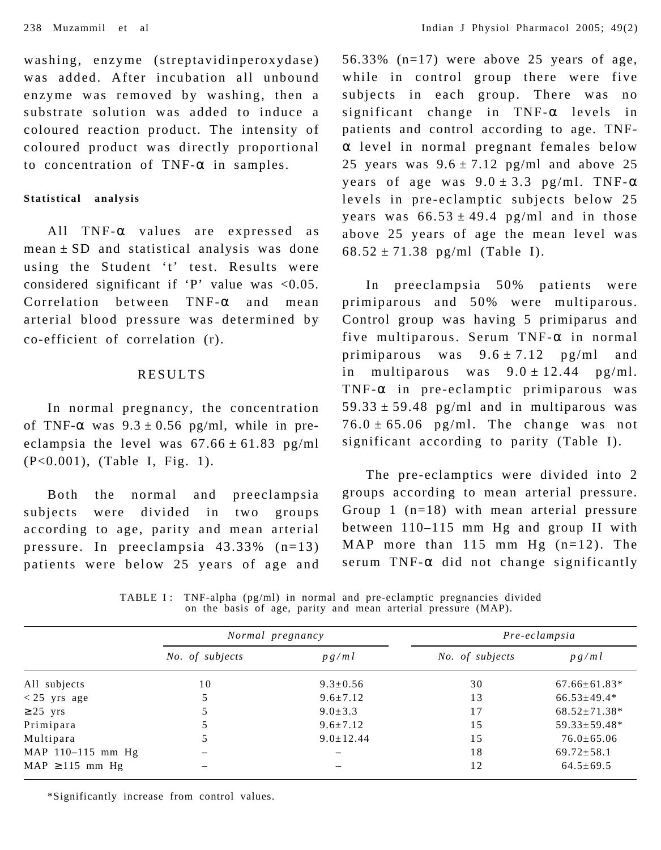washing, enzyme (streptavidinperoxydase) was added. After incubation all unbound enzyme was removed by washing, then a substrate solution was added to induce a coloured reaction product. The intensity of coloured product was directly proportional to concentration of TNF- $\alpha$  in samples.

#### **Statistical analysis**

All TNF-α values are expressed as  $mean \pm SD$  and statistical analysis was done using the Student 't' test. Results were considered significant if 'P' value was  $\langle 0.05$ . Correlation between TNF-α and mean arterial blood pressure was determined by co-efficient of correlation (r).

### RESULTS

In normal pregnancy, the concentration of TNF- $\alpha$  was  $9.3 \pm 0.56$  pg/ml, while in preeclampsia the level was  $67.66 \pm 61.83$  pg/ml (P<0.001), (Table I, Fig. 1).

Both the normal and preeclampsia subjects were divided in two groups according to age, parity and mean arterial pressure. In preeclampsia 43.33% (n=13) patients were below 25 years of age and 56.33% (n=17) were above 25 years of age, while in control group there were five subjects in each group. There was no significant change in TNF-α levels in patients and control according to age. TNFα level in normal pregnant females below 25 years was  $9.6 \pm 7.12$  pg/ml and above 25 years of age was  $9.0 \pm 3.3$  pg/ml. TNF- $\alpha$ levels in pre-eclamptic subjects below 25 years was  $66.53 \pm 49.4$  pg/ml and in those above 25 years of age the mean level was  $68.52 \pm 71.38$  pg/ml (Table I).

In preeclampsia 50% patients were primiparous and 50% were multiparous. Control group was having 5 primiparus and five multiparous. Serum TNF-α in normal primiparous was  $9.6 \pm 7.12$  pg/ml and in multiparous was  $9.0 \pm 12.44$  pg/ml. TNF- $\alpha$  in pre-eclamptic primiparous was  $59.33 \pm 59.48$  pg/ml and in multiparous was  $76.0 \pm 65.06$  pg/ml. The change was not significant according to parity (Table I).

The pre-eclamptics were divided into 2 groups according to mean arterial pressure. Group 1 (n=18) with mean arterial pressure between 110–115 mm Hg and group II with MAP more than 115 mm Hg (n=12). The serum TNF- $\alpha$  did not change significantly

TABLE I: TNF-alpha  $(pg/ml)$  in normal and pre-eclamptic pregnancies divided on the basis of age, parity and mean arterial pressure (MAP).

|                     | Normal pregnancy |                                 | Pre-eclampsia   |                    |
|---------------------|------------------|---------------------------------|-----------------|--------------------|
|                     | No. of subjects  | p g / m l                       | No. of subjects | p g/ml             |
| All subjects        | 10               | $9.3 \pm 0.56$                  | 30              | $67.66 \pm 61.83*$ |
| $< 25$ yrs age      |                  | $9.6 \pm 7.12$                  | 13              | $66.53 \pm 49.4*$  |
| $\geq 25$ yrs       |                  | $9.0 \pm 3.3$                   | 17              | $68.52 \pm 71.38*$ |
| Primipara           |                  | $9.6 \pm 7.12$                  | 15              | $59.33 \pm 59.48*$ |
| Multipara           |                  | $9.0 \pm 12.44$                 | 1.5             | $76.0 \pm 65.06$   |
| MAP 110-115 mm Hg   |                  | $\overline{\phantom{0}}$        | 18              | $69.72 \pm 58.1$   |
| $MAP \ge 115$ mm Hg |                  | $\hspace{0.1mm}-\hspace{0.1mm}$ | 12              | $64.5 \pm 69.5$    |

\*Significantly increase from control values.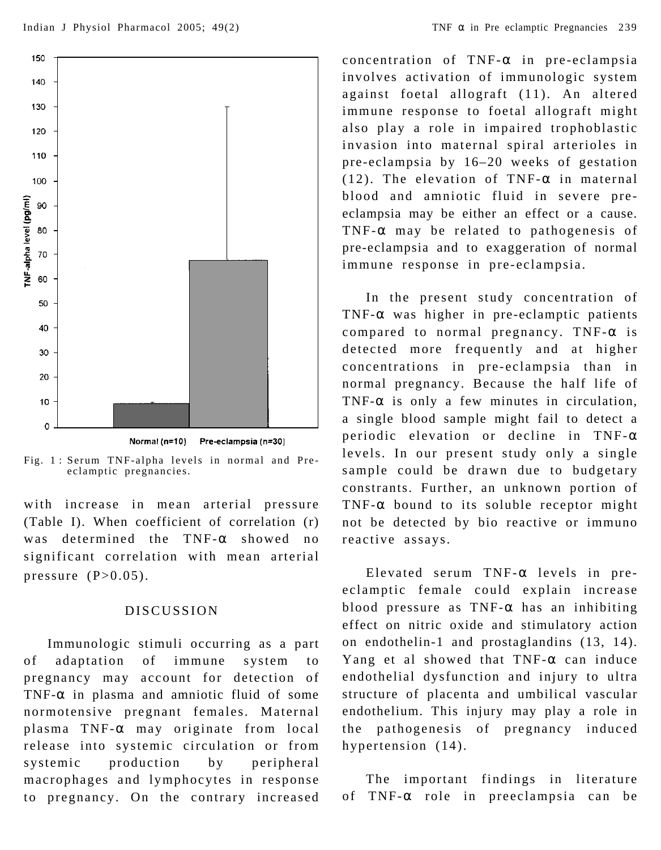

Normal (n=10) Pre-eclampsia (n=30)

Fig. 1 : Serum TNF-alpha levels in normal and Preeclamptic pregnancies.

with increase in mean arterial pressure (Table I). When coefficient of correlation (r) was determined the TNF-α showed no significant correlation with mean arterial pressure  $(P>0.05)$ .

### DISCUSSION

Immunologic stimuli occurring as a part of adaptation of immune system to pregnancy may account for detection of TNF-α in plasma and amniotic fluid of some normotensive pregnant females. Maternal plasma TNF-α may originate from local release into systemic circulation or from systemic production by peripheral macrophages and lymphocytes in response to pregnancy. On the contrary increased concentration of TNF-α in pre-eclampsia involves activation of immunologic system against foetal allograft (11). An altered immune response to foetal allograft might also play a role in impaired trophoblastic invasion into maternal spiral arterioles in pre-eclampsia by 16–20 weeks of gestation (12). The elevation of TNF- $\alpha$  in maternal blood and amniotic fluid in severe preeclampsia may be either an effect or a cause. TNF-α may be related to pathogenesis of pre-eclampsia and to exaggeration of normal immune response in pre-eclampsia.

In the present study concentration of TNF-α was higher in pre-eclamptic patients compared to normal pregnancy. TNF-α is detected more frequently and at higher concentrations in pre-eclampsia than in normal pregnancy. Because the half life of TNF- $\alpha$  is only a few minutes in circulation, a single blood sample might fail to detect a periodic elevation or decline in TNF-α levels. In our present study only a single sample could be drawn due to budgetary constrants. Further, an unknown portion of TNF- $\alpha$  bound to its soluble receptor might not be detected by bio reactive or immuno reactive assays.

Elevated serum  $TNF-\alpha$  levels in preeclamptic female could explain increase blood pressure as  $TNF-\alpha$  has an inhibiting effect on nitric oxide and stimulatory action on endothelin-1 and prostaglandins (13, 14). Yang et al showed that  $TNF-\alpha$  can induce endothelial dysfunction and injury to ultra structure of placenta and umbilical vascular endothelium. This injury may play a role in the pathogenesis of pregnancy induced hypertension (14).

The important findings in literature of TNF-α role in preeclampsia can be